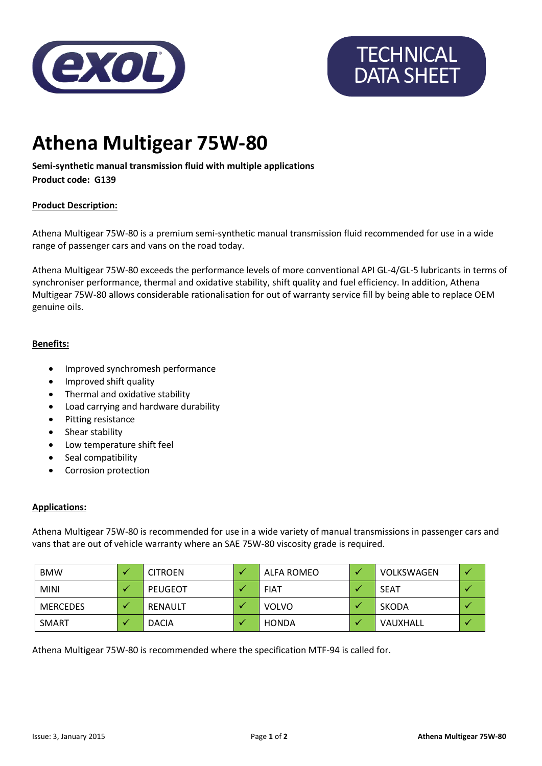

# **TECHNICAL** DATA SHEET

## **Athena Multigear 75W-80**

### **Semi-synthetic manual transmission fluid with multiple applications**

**Product code: G139**

#### **Product Description:**

Athena Multigear 75W-80 is a premium semi-synthetic manual transmission fluid recommended for use in a wide range of passenger cars and vans on the road today.

Athena Multigear 75W-80 exceeds the performance levels of more conventional API GL-4/GL-5 lubricants in terms of synchroniser performance, thermal and oxidative stability, shift quality and fuel efficiency. In addition, Athena Multigear 75W-80 allows considerable rationalisation for out of warranty service fill by being able to replace OEM genuine oils.

#### **Benefits:**

- Improved synchromesh performance
- Improved shift quality
- Thermal and oxidative stability
- Load carrying and hardware durability
- Pitting resistance
- Shear stability
- Low temperature shift feel
- Seal compatibility
- Corrosion protection

#### **Applications:**

Athena Multigear 75W-80 is recommended for use in a wide variety of manual transmissions in passenger cars and vans that are out of vehicle warranty where an SAE 75W-80 viscosity grade is required.

| <b>BMW</b>      | <b>CITROEN</b> | ALFA ROMEO   | VOLKSWAGEN |  |
|-----------------|----------------|--------------|------------|--|
| <b>MINI</b>     | PEUGEOT        | <b>FIAT</b>  | SEAT       |  |
| <b>MERCEDES</b> | RENAULT        | <b>VOLVO</b> | SKODA      |  |
| SMART           | <b>DACIA</b>   | HONDA        | VAUXHALL   |  |

Athena Multigear 75W-80 is recommended where the specification MTF-94 is called for.